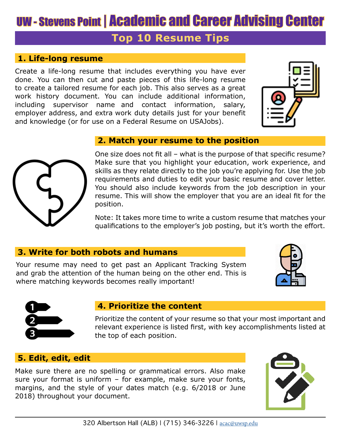# UW - Stevens Point | Academic and Career Advising Center

# **Top 10 Resume Tips**

## **1. Life-long resume**

Create a life-long resume that includes everything you have ever done. You can then cut and paste pieces of this life-long resume to create a tailored resume for each job. This also serves as a great work history document. You can include additional information, including supervisor name and contact information, salary, employer address, and extra work duty details just for your benefit and knowledge (or for use on a Federal Resume on USAJobs).

### **2. Match your resume to the position**

One size does not fit all – what is the purpose of that specific resume? Make sure that you highlight your education, work experience, and skills as they relate directly to the job you're applying for. Use the job requirements and duties to edit your basic resume and cover letter. You should also include keywords from the job description in your resume. This will show the employer that you are an ideal fit for the position.

Note: It takes more time to write a custom resume that matches your qualifications to the employer's job posting, but it's worth the effort.

### **3. Write for both robots and humans**

Your resume may need to get past an Applicant Tracking System and grab the attention of the human being on the other end. This is where matching keywords becomes really important!

### **4. Prioritize the content**

Prioritize the content of your resume so that your most important and relevant experience is listed first, with key accomplishments listed at the top of each position.

# **5. Edit, edit, edit**

Make sure there are no spelling or grammatical errors. Also make sure your format is uniform – for example, make sure your fonts, margins, and the style of your dates match (e.g. 6/2018 or June 2018) throughout your document.